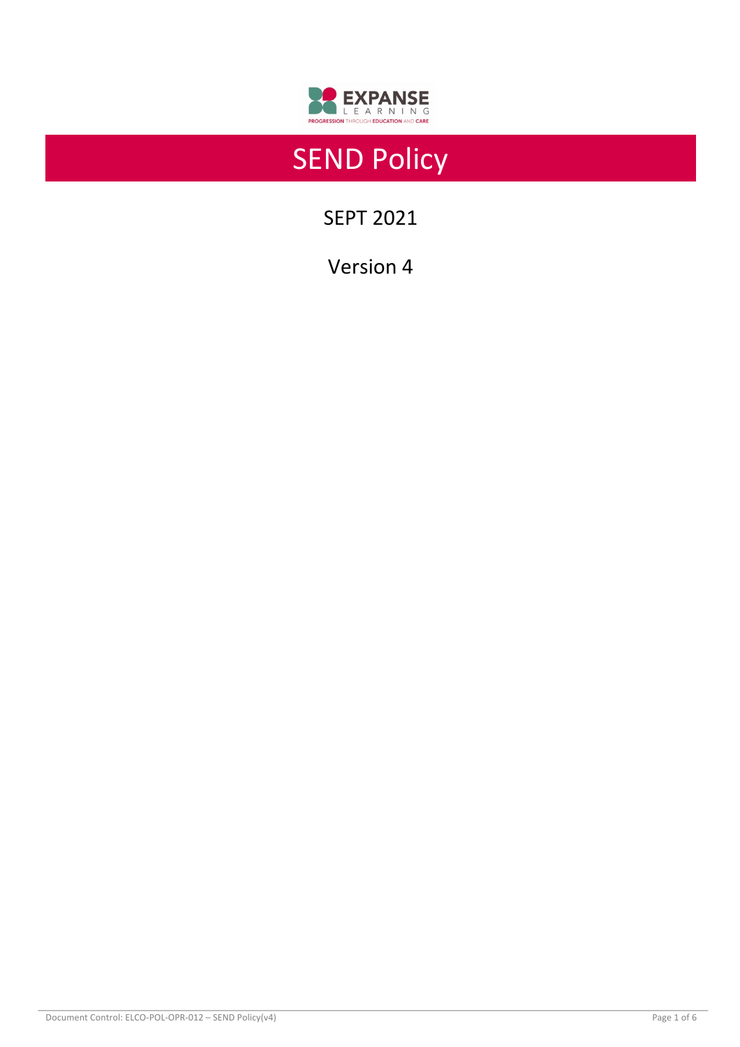

# SEND Policy

SEPT 2021

Version 4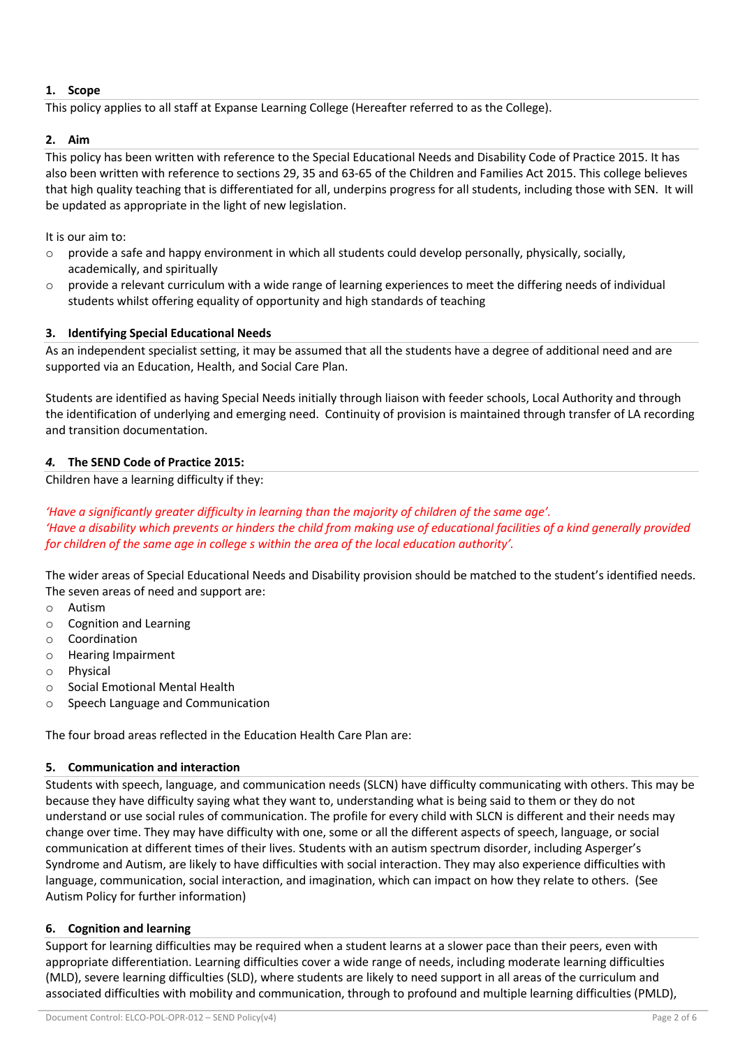# **1. Scope**

This policy applies to all staff at Expanse Learning College (Hereafter referred to as the College).

# **2. Aim**

This policy has been written with reference to the Special Educational Needs and Disability Code of Practice 2015. It has also been written with reference to sections 29, 35 and 63-65 of the Children and Families Act 2015. This college believes that high quality teaching that is differentiated for all, underpins progress for all students, including those with SEN. It will be updated as appropriate in the light of new legislation.

It is our aim to:

- $\circ$  provide a safe and happy environment in which all students could develop personally, physically, socially, academically, and spiritually
- $\circ$  provide a relevant curriculum with a wide range of learning experiences to meet the differing needs of individual students whilst offering equality of opportunity and high standards of teaching

# **3. Identifying Special Educational Needs**

As an independent specialist setting, it may be assumed that all the students have a degree of additional need and are supported via an Education, Health, and Social Care Plan.

Students are identified as having Special Needs initially through liaison with feeder schools, Local Authority and through the identification of underlying and emerging need. Continuity of provision is maintained through transfer of LA recording and transition documentation.

# *4.* **The SEND Code of Practice 2015:**

Children have a learning difficulty if they:

*'Have a significantly greater difficulty in learning than the majority of children of the same age'. 'Have a disability which prevents or hinders the child from making use of educational facilities of a kind generally provided for children of the same age in college s within the area of the local education authority'.* 

The wider areas of Special Educational Needs and Disability provision should be matched to the student's identified needs. The seven areas of need and support are:

- o Autism
- o Cognition and Learning
- o Coordination
- o Hearing Impairment
- o Physical
- o Social Emotional Mental Health
- o Speech Language and Communication

The four broad areas reflected in the Education Health Care Plan are:

# **5. Communication and interaction**

Students with speech, language, and communication needs (SLCN) have difficulty communicating with others. This may be because they have difficulty saying what they want to, understanding what is being said to them or they do not understand or use social rules of communication. The profile for every child with SLCN is different and their needs may change over time. They may have difficulty with one, some or all the different aspects of speech, language, or social communication at different times of their lives. Students with an autism spectrum disorder, including Asperger's Syndrome and Autism, are likely to have difficulties with social interaction. They may also experience difficulties with language, communication, social interaction, and imagination, which can impact on how they relate to others. (See Autism Policy for further information)

# **6. Cognition and learning**

Support for learning difficulties may be required when a student learns at a slower pace than their peers, even with appropriate differentiation. Learning difficulties cover a wide range of needs, including moderate learning difficulties (MLD), severe learning difficulties (SLD), where students are likely to need support in all areas of the curriculum and associated difficulties with mobility and communication, through to profound and multiple learning difficulties (PMLD),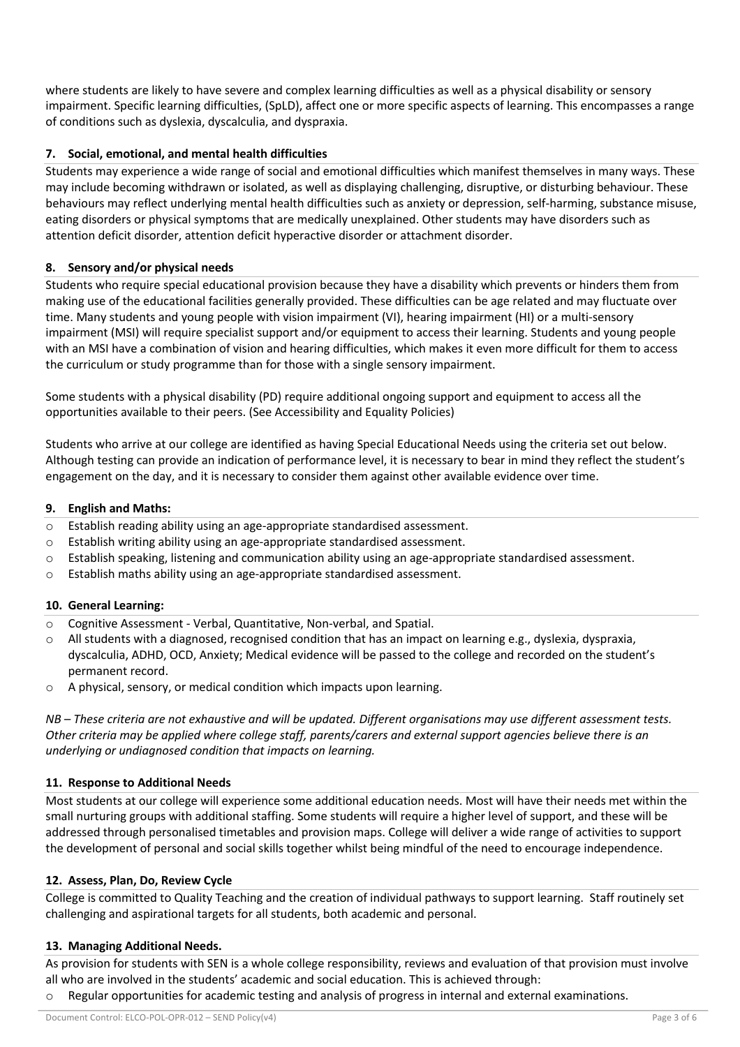where students are likely to have severe and complex learning difficulties as well as a physical disability or sensory impairment. Specific learning difficulties, (SpLD), affect one or more specific aspects of learning. This encompasses a range of conditions such as dyslexia, dyscalculia, and dyspraxia.

# **7. Social, emotional, and mental health difficulties**

Students may experience a wide range of social and emotional difficulties which manifest themselves in many ways. These may include becoming withdrawn or isolated, as well as displaying challenging, disruptive, or disturbing behaviour. These behaviours may reflect underlying mental health difficulties such as anxiety or depression, self-harming, substance misuse, eating disorders or physical symptoms that are medically unexplained. Other students may have disorders such as attention deficit disorder, attention deficit hyperactive disorder or attachment disorder.

# **8. Sensory and/or physical needs**

Students who require special educational provision because they have a disability which prevents or hinders them from making use of the educational facilities generally provided. These difficulties can be age related and may fluctuate over time. Many students and young people with vision impairment (VI), hearing impairment (HI) or a multi-sensory impairment (MSI) will require specialist support and/or equipment to access their learning. Students and young people with an MSI have a combination of vision and hearing difficulties, which makes it even more difficult for them to access the curriculum or study programme than for those with a single sensory impairment.

Some students with a physical disability (PD) require additional ongoing support and equipment to access all the opportunities available to their peers. (See Accessibility and Equality Policies)

Students who arrive at our college are identified as having Special Educational Needs using the criteria set out below. Although testing can provide an indication of performance level, it is necessary to bear in mind they reflect the student's engagement on the day, and it is necessary to consider them against other available evidence over time.

#### **9. English and Maths:**

- o Establish reading ability using an age-appropriate standardised assessment.
- o Establish writing ability using an age-appropriate standardised assessment.
- $\circ$  Establish speaking, listening and communication ability using an age-appropriate standardised assessment.
- o Establish maths ability using an age-appropriate standardised assessment.

# **10. General Learning:**

- o Cognitive Assessment Verbal, Quantitative, Non-verbal, and Spatial.
- o All students with a diagnosed, recognised condition that has an impact on learning e.g., dyslexia, dyspraxia, dyscalculia, ADHD, OCD, Anxiety; Medical evidence will be passed to the college and recorded on the student's permanent record.
- o A physical, sensory, or medical condition which impacts upon learning.

*NB – These criteria are not exhaustive and will be updated. Different organisations may use different assessment tests. Other criteria may be applied where college staff, parents/carers and external support agencies believe there is an underlying or undiagnosed condition that impacts on learning.*

#### **11. Response to Additional Needs**

Most students at our college will experience some additional education needs. Most will have their needs met within the small nurturing groups with additional staffing. Some students will require a higher level of support, and these will be addressed through personalised timetables and provision maps. College will deliver a wide range of activities to support the development of personal and social skills together whilst being mindful of the need to encourage independence.

#### **12. Assess, Plan, Do, Review Cycle**

College is committed to Quality Teaching and the creation of individual pathways to support learning. Staff routinely set challenging and aspirational targets for all students, both academic and personal.

#### **13. Managing Additional Needs.**

As provision for students with SEN is a whole college responsibility, reviews and evaluation of that provision must involve all who are involved in the students' academic and social education. This is achieved through:

 $\circ$  Regular opportunities for academic testing and analysis of progress in internal and external examinations.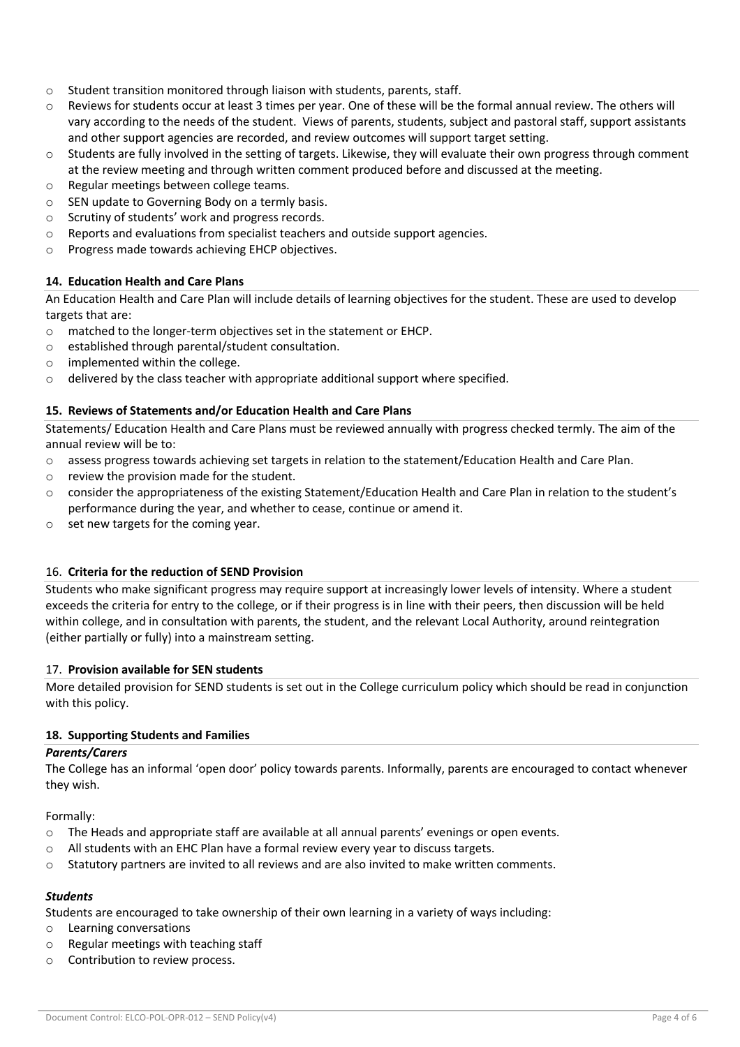- $\circ$  Student transition monitored through liaison with students, parents, staff.
- o Reviews for students occur at least 3 times per year. One of these will be the formal annual review. The others will vary according to the needs of the student. Views of parents, students, subject and pastoral staff, support assistants and other support agencies are recorded, and review outcomes will support target setting.
- o Students are fully involved in the setting of targets. Likewise, they will evaluate their own progress through comment at the review meeting and through written comment produced before and discussed at the meeting.
- o Regular meetings between college teams.
- o SEN update to Governing Body on a termly basis.
- o Scrutiny of students' work and progress records.
- $\circ$  Reports and evaluations from specialist teachers and outside support agencies.
- o Progress made towards achieving EHCP objectives.

# **14. Education Health and Care Plans**

An Education Health and Care Plan will include details of learning objectives for the student. These are used to develop targets that are:

- o matched to the longer-term objectives set in the statement or EHCP.
- o established through parental/student consultation.
- o implemented within the college.
- $\circ$  delivered by the class teacher with appropriate additional support where specified.

# **15. Reviews of Statements and/or Education Health and Care Plans**

Statements/ Education Health and Care Plans must be reviewed annually with progress checked termly. The aim of the annual review will be to:

- $\circ$  assess progress towards achieving set targets in relation to the statement/Education Health and Care Plan.
- o review the provision made for the student.
- $\circ$  consider the appropriateness of the existing Statement/Education Health and Care Plan in relation to the student's performance during the year, and whether to cease, continue or amend it.
- o set new targets for the coming year.

# 16. **Criteria for the reduction of SEND Provision**

Students who make significant progress may require support at increasingly lower levels of intensity. Where a student exceeds the criteria for entry to the college, or if their progress is in line with their peers, then discussion will be held within college, and in consultation with parents, the student, and the relevant Local Authority, around reintegration (either partially or fully) into a mainstream setting.

# 17. **Provision available for SEN students**

More detailed provision for SEND students is set out in the College curriculum policy which should be read in conjunction with this policy.

# **18. Supporting Students and Families**

# *Parents/Carers*

The College has an informal 'open door' policy towards parents. Informally, parents are encouraged to contact whenever they wish.

Formally:

- o The Heads and appropriate staff are available at all annual parents' evenings or open events.
- o All students with an EHC Plan have a formal review every year to discuss targets.
- $\circ$  Statutory partners are invited to all reviews and are also invited to make written comments.

# *Students*

Students are encouraged to take ownership of their own learning in a variety of ways including:

- o Learning conversations
- o Regular meetings with teaching staff
- o Contribution to review process.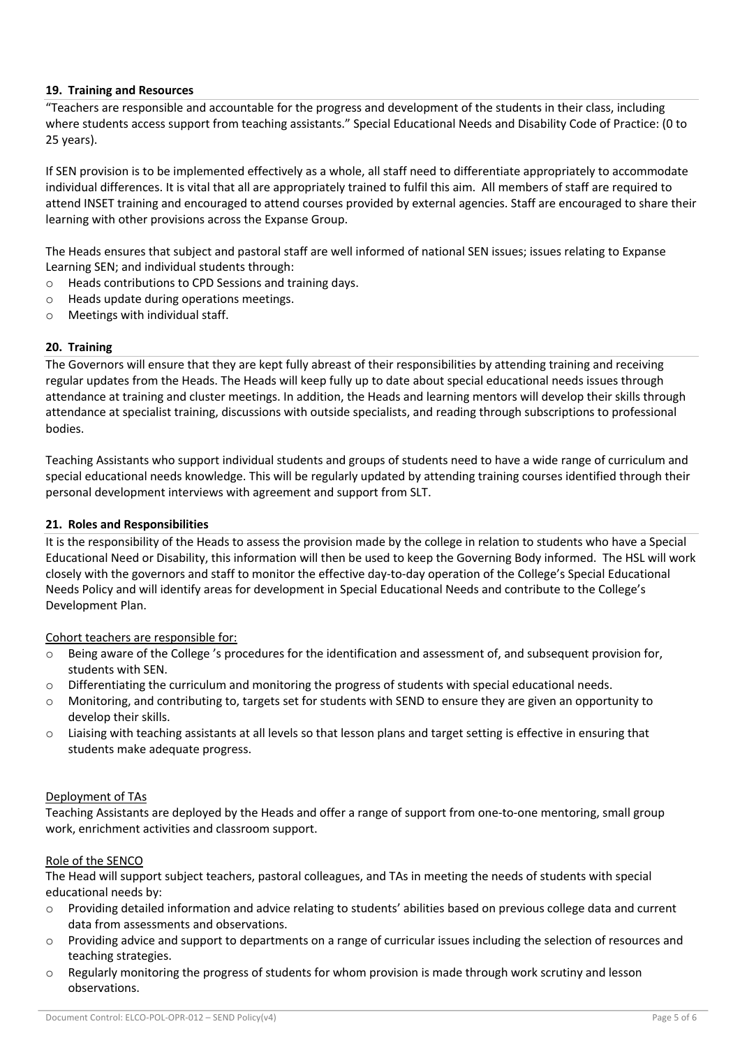# **19. Training and Resources**

"Teachers are responsible and accountable for the progress and development of the students in their class, including where students access support from teaching assistants." Special Educational Needs and Disability Code of Practice: (0 to 25 years).

If SEN provision is to be implemented effectively as a whole, all staff need to differentiate appropriately to accommodate individual differences. It is vital that all are appropriately trained to fulfil this aim. All members of staff are required to attend INSET training and encouraged to attend courses provided by external agencies. Staff are encouraged to share their learning with other provisions across the Expanse Group.

The Heads ensures that subject and pastoral staff are well informed of national SEN issues; issues relating to Expanse Learning SEN; and individual students through:

- o Heads contributions to CPD Sessions and training days.
- o Heads update during operations meetings.
- o Meetings with individual staff.

# **20. Training**

The Governors will ensure that they are kept fully abreast of their responsibilities by attending training and receiving regular updates from the Heads. The Heads will keep fully up to date about special educational needs issues through attendance at training and cluster meetings. In addition, the Heads and learning mentors will develop their skills through attendance at specialist training, discussions with outside specialists, and reading through subscriptions to professional bodies.

Teaching Assistants who support individual students and groups of students need to have a wide range of curriculum and special educational needs knowledge. This will be regularly updated by attending training courses identified through their personal development interviews with agreement and support from SLT.

# **21. Roles and Responsibilities**

It is the responsibility of the Heads to assess the provision made by the college in relation to students who have a Special Educational Need or Disability, this information will then be used to keep the Governing Body informed. The HSL will work closely with the governors and staff to monitor the effective day-to-day operation of the College's Special Educational Needs Policy and will identify areas for development in Special Educational Needs and contribute to the College's Development Plan.

# Cohort teachers are responsible for:

- o Being aware of the College 's procedures for the identification and assessment of, and subsequent provision for, students with SEN.
- $\circ$  Differentiating the curriculum and monitoring the progress of students with special educational needs.
- $\circ$  Monitoring, and contributing to, targets set for students with SEND to ensure they are given an opportunity to develop their skills.
- $\circ$  Liaising with teaching assistants at all levels so that lesson plans and target setting is effective in ensuring that students make adequate progress.

# Deployment of TAs

Teaching Assistants are deployed by the Heads and offer a range of support from one-to-one mentoring, small group work, enrichment activities and classroom support.

# Role of the SENCO

The Head will support subject teachers, pastoral colleagues, and TAs in meeting the needs of students with special educational needs by:

- o Providing detailed information and advice relating to students' abilities based on previous college data and current data from assessments and observations.
- $\circ$  Providing advice and support to departments on a range of curricular issues including the selection of resources and teaching strategies.
- $\circ$  Regularly monitoring the progress of students for whom provision is made through work scrutiny and lesson observations.